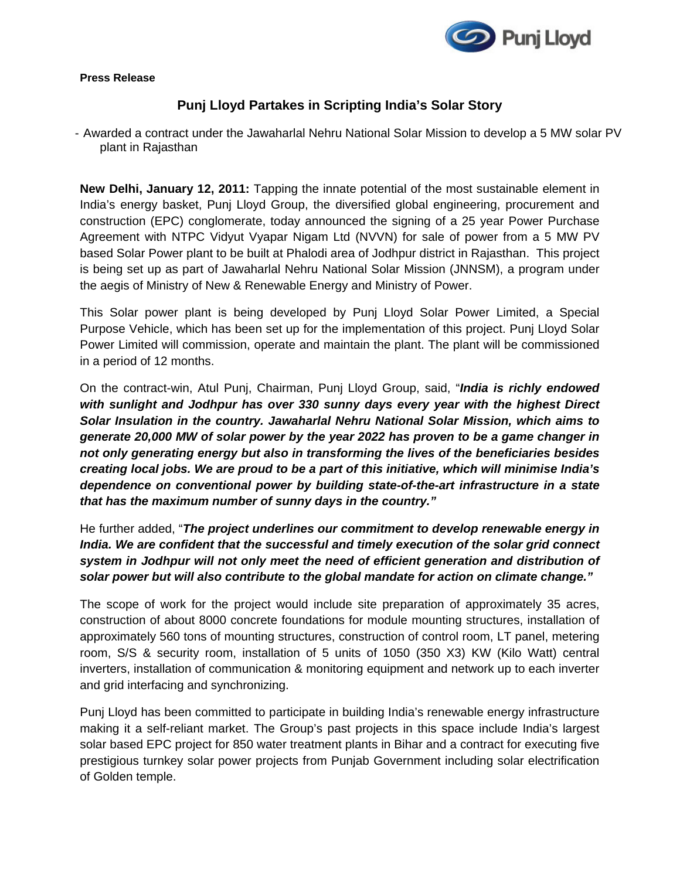

## **Press Release**

## **Punj Lloyd Partakes in Scripting India's Solar Story**

- Awarded a contract under the Jawaharlal Nehru National Solar Mission to develop a 5 MW solar PV plant in Rajasthan

**New Delhi, January 12, 2011:** Tapping the innate potential of the most sustainable element in India's energy basket, Punj Lloyd Group, the diversified global engineering, procurement and construction (EPC) conglomerate, today announced the signing of a 25 year Power Purchase Agreement with NTPC Vidyut Vyapar Nigam Ltd (NVVN) for sale of power from a 5 MW PV based Solar Power plant to be built at Phalodi area of Jodhpur district in Rajasthan. This project is being set up as part of Jawaharlal Nehru National Solar Mission (JNNSM), a program under the aegis of Ministry of New & Renewable Energy and Ministry of Power.

This Solar power plant is being developed by Punj Lloyd Solar Power Limited, a Special Purpose Vehicle, which has been set up for the implementation of this project. Punj Lloyd Solar Power Limited will commission, operate and maintain the plant. The plant will be commissioned in a period of 12 months.

On the contract-win, Atul Punj, Chairman, Punj Lloyd Group, said, "*India is richly endowed with sunlight and Jodhpur has over 330 sunny days every year with the highest Direct Solar Insulation in the country. Jawaharlal Nehru National Solar Mission, which aims to generate 20,000 MW of solar power by the year 2022 has proven to be a game changer in not only generating energy but also in transforming the lives of the beneficiaries besides creating local jobs. We are proud to be a part of this initiative, which will minimise India's dependence on conventional power by building state-of-the-art infrastructure in a state that has the maximum number of sunny days in the country."* 

He further added, "*The project underlines our commitment to develop renewable energy in India. We are confident that the successful and timely execution of the solar grid connect system in Jodhpur will not only meet the need of efficient generation and distribution of solar power but will also contribute to the global mandate for action on climate change."* 

The scope of work for the project would include site preparation of approximately 35 acres, construction of about 8000 concrete foundations for module mounting structures, installation of approximately 560 tons of mounting structures, construction of control room, LT panel, metering room, S/S & security room, installation of 5 units of 1050 (350 X3) KW (Kilo Watt) central inverters, installation of communication & monitoring equipment and network up to each inverter and grid interfacing and synchronizing.

Punj Lloyd has been committed to participate in building India's renewable energy infrastructure making it a self-reliant market. The Group's past projects in this space include India's largest solar based EPC project for 850 water treatment plants in Bihar and a contract for executing five prestigious turnkey solar power projects from Punjab Government including solar electrification of Golden temple.